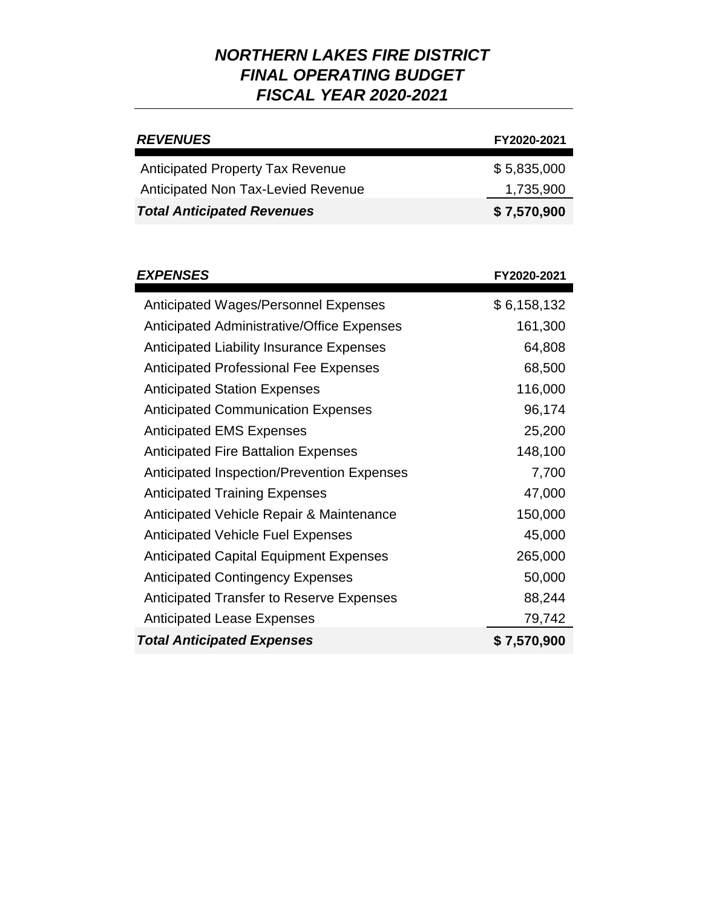| <b>REVENUES</b>                           | FY2020-2021 |
|-------------------------------------------|-------------|
|                                           |             |
| <b>Anticipated Property Tax Revenue</b>   | \$5,835,000 |
| <b>Anticipated Non Tax-Levied Revenue</b> | 1,735,900   |
| <b>Total Anticipated Revenues</b>         | \$7,570,900 |

| <b>EXPENSES</b>                                   | FY2020-2021 |
|---------------------------------------------------|-------------|
| Anticipated Wages/Personnel Expenses              | \$6,158,132 |
| <b>Anticipated Administrative/Office Expenses</b> | 161,300     |
| <b>Anticipated Liability Insurance Expenses</b>   | 64,808      |
| <b>Anticipated Professional Fee Expenses</b>      | 68,500      |
| <b>Anticipated Station Expenses</b>               | 116,000     |
| <b>Anticipated Communication Expenses</b>         | 96,174      |
| <b>Anticipated EMS Expenses</b>                   | 25,200      |
| <b>Anticipated Fire Battalion Expenses</b>        | 148,100     |
| <b>Anticipated Inspection/Prevention Expenses</b> | 7,700       |
| <b>Anticipated Training Expenses</b>              | 47,000      |
| Anticipated Vehicle Repair & Maintenance          | 150,000     |
| <b>Anticipated Vehicle Fuel Expenses</b>          | 45,000      |
| <b>Anticipated Capital Equipment Expenses</b>     | 265,000     |
| <b>Anticipated Contingency Expenses</b>           | 50,000      |
| <b>Anticipated Transfer to Reserve Expenses</b>   | 88,244      |
| <b>Anticipated Lease Expenses</b>                 | 79,742      |
| <b>Total Anticipated Expenses</b>                 | \$7,570,900 |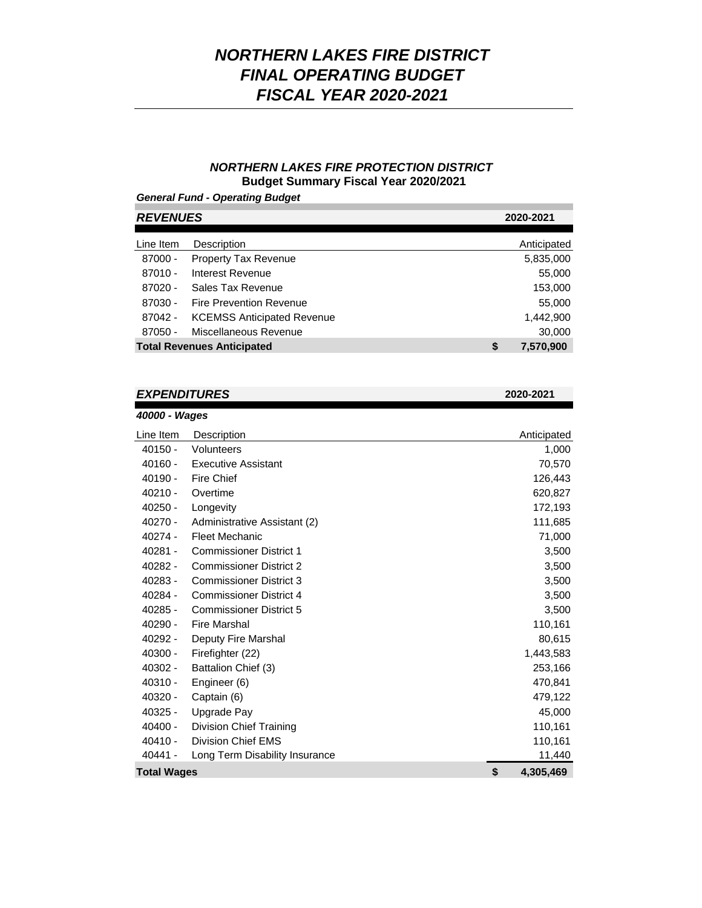### *NORTHERN LAKES FIRE PROTECTION DISTRICT*  **Budget Summary Fiscal Year 2020/2021**

*General Fund - Operating Budget*

| <b>REVENUES</b> |                                   | 2020-2021       |
|-----------------|-----------------------------------|-----------------|
|                 |                                   |                 |
| Line Item       | Description                       | Anticipated     |
| 87000 -         | <b>Property Tax Revenue</b>       | 5,835,000       |
| $87010 -$       | Interest Revenue                  | 55,000          |
| $87020 -$       | Sales Tax Revenue                 | 153,000         |
| 87030 -         | <b>Fire Prevention Revenue</b>    | 55,000          |
| 87042 -         | <b>KCEMSS Anticipated Revenue</b> | 1,442,900       |
| $87050 -$       | Miscellaneous Revenue             | 30,000          |
|                 | <b>Total Revenues Anticipated</b> | \$<br>7,570,900 |

### *EXPENDITURES* **2020-2021**

### *40000 - Wages*

| Line Item          | Description                    | Anticipated     |
|--------------------|--------------------------------|-----------------|
| $40150 -$          | Volunteers                     | 1,000           |
| $40160 -$          | <b>Executive Assistant</b>     | 70,570          |
| 40190 -            | <b>Fire Chief</b>              | 126,443         |
| $40210 -$          | Overtime                       | 620,827         |
| $40250 -$          | Longevity                      | 172,193         |
| $40270 -$          | Administrative Assistant (2)   | 111,685         |
| $40274 -$          | <b>Fleet Mechanic</b>          | 71,000          |
| $40281 -$          | <b>Commissioner District 1</b> | 3,500           |
| 40282 -            | <b>Commissioner District 2</b> | 3,500           |
| $40283 -$          | <b>Commissioner District 3</b> | 3,500           |
| 40284 -            | <b>Commissioner District 4</b> | 3,500           |
| $40285 -$          | <b>Commissioner District 5</b> | 3,500           |
| $40290 -$          | Fire Marshal                   | 110,161         |
| $40292 -$          | Deputy Fire Marshal            | 80,615          |
| 40300 -            | Firefighter (22)               | 1,443,583       |
| $40302 -$          | Battalion Chief (3)            | 253,166         |
| $40310 -$          | Engineer (6)                   | 470,841         |
| $40320 -$          | Captain (6)                    | 479,122         |
| $40325 -$          | Upgrade Pay                    | 45,000          |
| $40400 -$          | Division Chief Training        | 110,161         |
| $40410 -$          | <b>Division Chief EMS</b>      | 110,161         |
| 40441 -            | Long Term Disability Insurance | 11,440          |
| <b>Total Wages</b> |                                | \$<br>4,305,469 |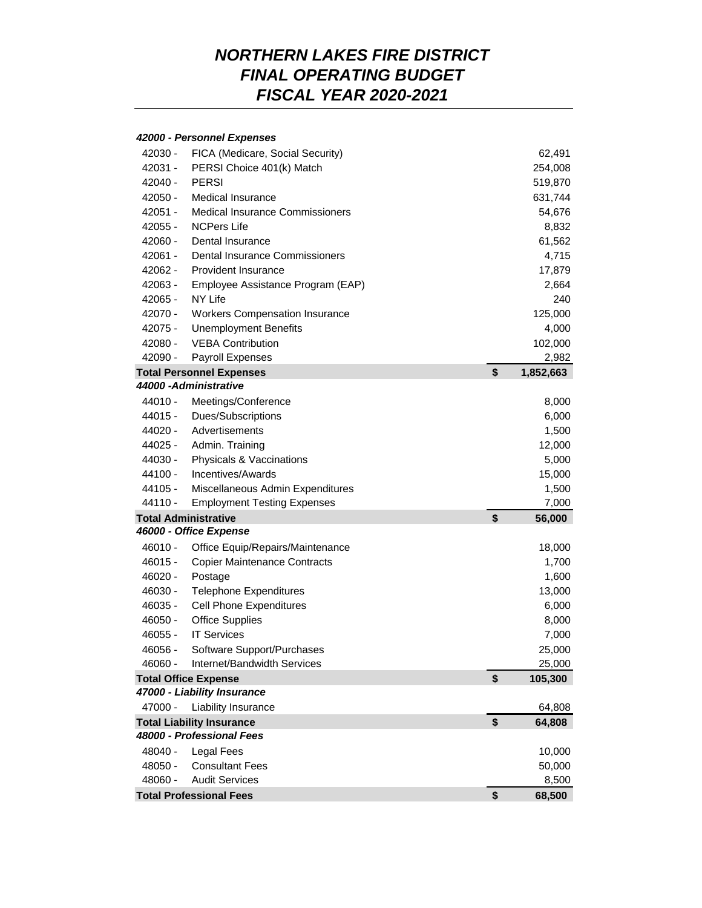### *42000 - Personnel Expenses*

| 42030 -   | FICA (Medicare, Social Security)       | 62,491          |
|-----------|----------------------------------------|-----------------|
| 42031 -   | PERSI Choice 401(k) Match              | 254,008         |
| 42040 -   | <b>PERSI</b>                           | 519,870         |
| 42050 -   | Medical Insurance                      | 631,744         |
| $42051 -$ | <b>Medical Insurance Commissioners</b> | 54,676          |
| $42055 -$ | <b>NCPers Life</b>                     | 8,832           |
| $42060 -$ | Dental Insurance                       | 61,562          |
| $42061 -$ | Dental Insurance Commissioners         | 4,715           |
| 42062 -   | Provident Insurance                    | 17,879          |
| $42063 -$ | Employee Assistance Program (EAP)      | 2,664           |
| 42065 -   | NY Life                                | 240             |
| 42070 -   | <b>Workers Compensation Insurance</b>  | 125,000         |
| 42075 -   | <b>Unemployment Benefits</b>           | 4,000           |
| $42080 -$ | <b>VEBA Contribution</b>               | 102,000         |
| $42090 -$ | Payroll Expenses                       | 2,982           |
|           | <b>Total Personnel Expenses</b>        | \$<br>1,852,663 |
|           | 44000-Administrative                   |                 |
| $44010 -$ | Meetings/Conference                    | 8,000           |
| 44015 -   | Dues/Subscriptions                     | 6,000           |
| 44020 -   | Advertisements                         | 1,500           |
| 44025 -   | Admin. Training                        | 12,000          |
| 44030 -   | Physicals & Vaccinations               | 5,000           |
| 44100 -   | Incentives/Awards                      | 15,000          |
| $44105 -$ | Miscellaneous Admin Expenditures       | 1,500           |
| 44110 -   | <b>Employment Testing Expenses</b>     | 7,000           |
|           | <b>Total Administrative</b>            | \$<br>56,000    |
|           | 46000 - Office Expense                 |                 |
| 46010 -   | Office Equip/Repairs/Maintenance       | 18,000          |
| 46015 -   | <b>Copier Maintenance Contracts</b>    | 1,700           |
| 46020 -   | Postage                                | 1,600           |
| 46030 -   | <b>Telephone Expenditures</b>          | 13,000          |
| 46035 -   | Cell Phone Expenditures                | 6,000           |
| 46050 -   | <b>Office Supplies</b>                 | 8,000           |
| 46055 -   | <b>IT Services</b>                     | 7,000           |
| 46056 -   | Software Support/Purchases             | 25,000          |
| 46060 -   | Internet/Bandwidth Services            | 25,000          |
|           | <b>Total Office Expense</b>            | \$<br>105,300   |
|           | 47000 - Liability Insurance            |                 |
| 47000 -   | Liability Insurance                    | 64,808          |
|           | <b>Total Liability Insurance</b>       | \$<br>64,808    |
|           | 48000 - Professional Fees              |                 |
| 48040 -   | <b>Legal Fees</b>                      | 10,000          |
| 48050 -   | <b>Consultant Fees</b>                 | 50,000          |
| 48060 -   | <b>Audit Services</b>                  | 8,500           |
|           | <b>Total Professional Fees</b>         | \$<br>68,500    |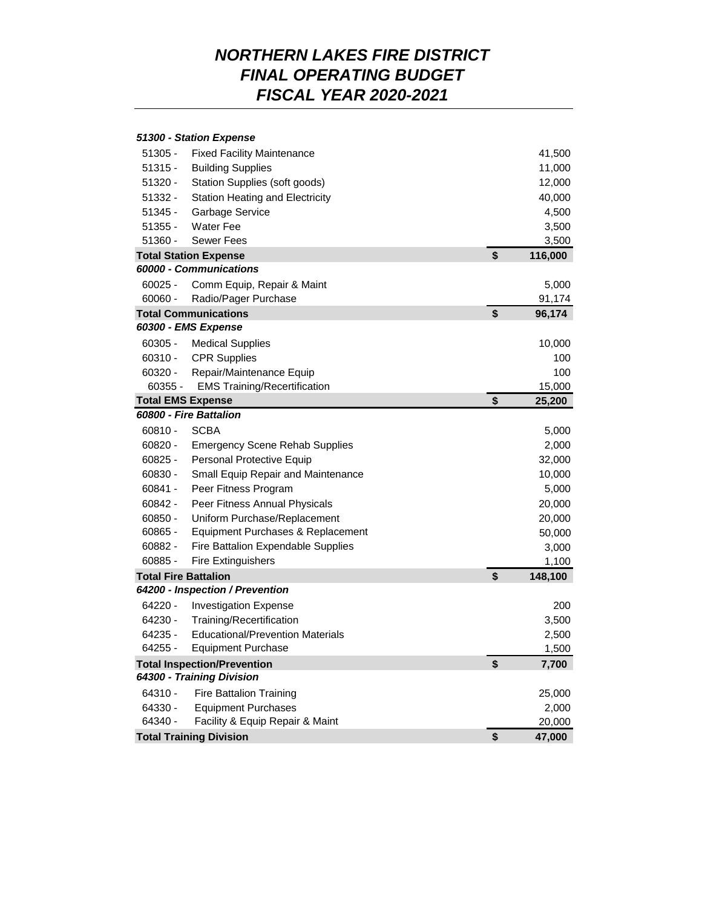#### 41,500 11,000 12,000 40,000 4,500 3,500 3,500 **Total Station Expense \$ 116,000** 60025 - Comm Equip, Repair & Maint 5,000 91,174 **Total Communications \$ 96,174** 60305 - Medical Supplies 10,000 60310 - CPR Supplies 100 60320 - Repair/Maintenance Equip 100 15,000 **Total EMS Expense \$ 25,200** 60810 - SCBA 5,000 60820 - Emergency Scene Rehab Supplies 2,000 60825 - Personal Protective Equip 32,000 60830 - Small Equip Repair and Maintenance 10,000 60841 - Peer Fitness Program 5,000 60842 - Peer Fitness Annual Physicals 20,000 60850 - Uniform Purchase/Replacement 20,000 60865 - Equipment Purchases & Replacement 50,000 60882 - Fire Battalion Expendable Supplies 3,000 3,000 60885 - Fire Extinguishers 1,100 **Total Fire Battalion \$ 148,100** 64220 - Investigation Expense 200 64230 - Training/Recertification 3,500 64235 - Educational/Prevention Materials 2,500 64255 - Equipment Purchase 1,500 **Total Inspection/Prevention \$ 7,700** 64310 - Fire Battalion Training 25,000 64330 - Equipment Purchases 2,000 64340 - Facility & Equip Repair & Maint 20,000 **Total Training Division \$ 47,000** 60355 - EMS Training/Recertification 51320 - Station Supplies (soft goods) 51332 - Station Heating and Electricity 51345 - Garbage Service 51355 - Water Fee 60060 - Radio/Pager Purchase 51360 - Sewer Fees 51305 - Fixed Facility Maintenance 51315 - Building Supplies *64200 - Inspection / Prevention 64300 - Training Division 51300 - Station Expense 60000 - Communications 60300 - EMS Expense 60800 - Fire Battalion*